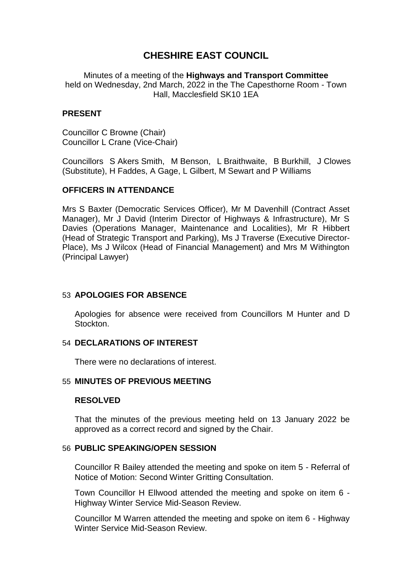# **CHESHIRE EAST COUNCIL**

Minutes of a meeting of the **Highways and Transport Committee** held on Wednesday, 2nd March, 2022 in the The Capesthorne Room - Town Hall, Macclesfield SK10 1EA

#### **PRESENT**

Councillor C Browne (Chair) Councillor L Crane (Vice-Chair)

Councillors S Akers Smith, M Benson, L Braithwaite, B Burkhill, J Clowes (Substitute), H Faddes, A Gage, L Gilbert, M Sewart and P Williams

### **OFFICERS IN ATTENDANCE**

Mrs S Baxter (Democratic Services Officer), Mr M Davenhill (Contract Asset Manager), Mr J David (Interim Director of Highways & Infrastructure), Mr S Davies (Operations Manager, Maintenance and Localities), Mr R Hibbert (Head of Strategic Transport and Parking), Ms J Traverse (Executive Director-Place), Ms J Wilcox (Head of Financial Management) and Mrs M Withington (Principal Lawyer)

# 53 **APOLOGIES FOR ABSENCE**

Apologies for absence were received from Councillors M Hunter and D Stockton.

#### 54 **DECLARATIONS OF INTEREST**

There were no declarations of interest.

#### 55 **MINUTES OF PREVIOUS MEETING**

#### **RESOLVED**

That the minutes of the previous meeting held on 13 January 2022 be approved as a correct record and signed by the Chair.

#### 56 **PUBLIC SPEAKING/OPEN SESSION**

Councillor R Bailey attended the meeting and spoke on item 5 - Referral of Notice of Motion: Second Winter Gritting Consultation.

Town Councillor H Ellwood attended the meeting and spoke on item 6 - Highway Winter Service Mid-Season Review.

Councillor M Warren attended the meeting and spoke on item 6 - Highway Winter Service Mid-Season Review.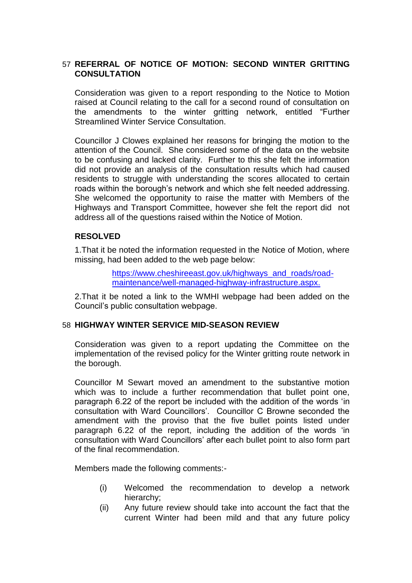# 57 **REFERRAL OF NOTICE OF MOTION: SECOND WINTER GRITTING CONSULTATION**

Consideration was given to a report responding to the Notice to Motion raised at Council relating to the call for a second round of consultation on the amendments to the winter gritting network, entitled "Further Streamlined Winter Service Consultation.

Councillor J Clowes explained her reasons for bringing the motion to the attention of the Council. She considered some of the data on the website to be confusing and lacked clarity. Further to this she felt the information did not provide an analysis of the consultation results which had caused residents to struggle with understanding the scores allocated to certain roads within the borough's network and which she felt needed addressing. She welcomed the opportunity to raise the matter with Members of the Highways and Transport Committee, however she felt the report did not address all of the questions raised within the Notice of Motion.

### **RESOLVED**

1.That it be noted the information requested in the Notice of Motion, where missing, had been added to the web page below:

> [https://www.cheshireeast.gov.uk/highways\\_and\\_roads/road](https://www.cheshireeast.gov.uk/highways_and_roads/road-maintenance/well-managed-highway-infrastructure.aspx)[maintenance/well-managed-highway-infrastructure.aspx.](https://www.cheshireeast.gov.uk/highways_and_roads/road-maintenance/well-managed-highway-infrastructure.aspx)

2.That it be noted a link to the WMHI webpage had been added on the Council's public consultation webpage.

### 58 **HIGHWAY WINTER SERVICE MID-SEASON REVIEW**

Consideration was given to a report updating the Committee on the implementation of the revised policy for the Winter gritting route network in the borough.

Councillor M Sewart moved an amendment to the substantive motion which was to include a further recommendation that bullet point one, paragraph 6.22 of the report be included with the addition of the words 'in consultation with Ward Councillors'. Councillor C Browne seconded the amendment with the proviso that the five bullet points listed under paragraph 6.22 of the report, including the addition of the words 'in consultation with Ward Councillors' after each bullet point to also form part of the final recommendation.

Members made the following comments:-

- (i) Welcomed the recommendation to develop a network hierarchy;
- (ii) Any future review should take into account the fact that the current Winter had been mild and that any future policy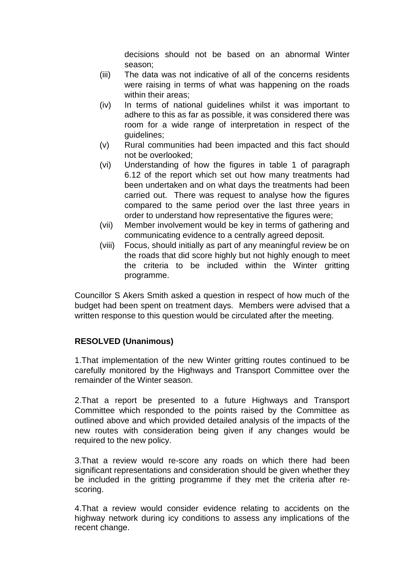decisions should not be based on an abnormal Winter season;

- (iii) The data was not indicative of all of the concerns residents were raising in terms of what was happening on the roads within their areas;
- (iv) In terms of national guidelines whilst it was important to adhere to this as far as possible, it was considered there was room for a wide range of interpretation in respect of the guidelines;
- (v) Rural communities had been impacted and this fact should not be overlooked;
- (vi) Understanding of how the figures in table 1 of paragraph 6.12 of the report which set out how many treatments had been undertaken and on what days the treatments had been carried out. There was request to analyse how the figures compared to the same period over the last three years in order to understand how representative the figures were;
- (vii) Member involvement would be key in terms of gathering and communicating evidence to a centrally agreed deposit.
- (viii) Focus, should initially as part of any meaningful review be on the roads that did score highly but not highly enough to meet the criteria to be included within the Winter gritting programme.

Councillor S Akers Smith asked a question in respect of how much of the budget had been spent on treatment days. Members were advised that a written response to this question would be circulated after the meeting.

# **RESOLVED (Unanimous)**

1.That implementation of the new Winter gritting routes continued to be carefully monitored by the Highways and Transport Committee over the remainder of the Winter season.

2.That a report be presented to a future Highways and Transport Committee which responded to the points raised by the Committee as outlined above and which provided detailed analysis of the impacts of the new routes with consideration being given if any changes would be required to the new policy.

3.That a review would re-score any roads on which there had been significant representations and consideration should be given whether they be included in the gritting programme if they met the criteria after rescoring.

4.That a review would consider evidence relating to accidents on the highway network during icy conditions to assess any implications of the recent change.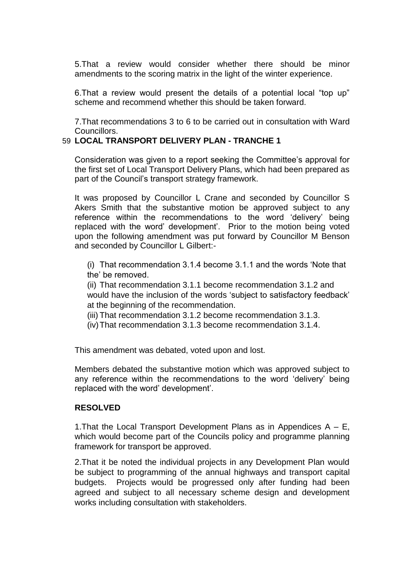5.That a review would consider whether there should be minor amendments to the scoring matrix in the light of the winter experience.

6.That a review would present the details of a potential local "top up" scheme and recommend whether this should be taken forward.

7.That recommendations 3 to 6 to be carried out in consultation with Ward Councillors.

# 59 **LOCAL TRANSPORT DELIVERY PLAN - TRANCHE 1**

Consideration was given to a report seeking the Committee's approval for the first set of Local Transport Delivery Plans, which had been prepared as part of the Council's transport strategy framework.

It was proposed by Councillor L Crane and seconded by Councillor S Akers Smith that the substantive motion be approved subject to any reference within the recommendations to the word 'delivery' being replaced with the word' development'. Prior to the motion being voted upon the following amendment was put forward by Councillor M Benson and seconded by Councillor L Gilbert:-

(i) That recommendation 3.1.4 become 3.1.1 and the words 'Note that the' be removed.

(ii) That recommendation 3.1.1 become recommendation 3.1.2 and would have the inclusion of the words 'subject to satisfactory feedback' at the beginning of the recommendation.

(iii) That recommendation 3.1.2 become recommendation 3.1.3.

(iv)That recommendation 3.1.3 become recommendation 3.1.4.

This amendment was debated, voted upon and lost.

Members debated the substantive motion which was approved subject to any reference within the recommendations to the word 'delivery' being replaced with the word' development'.

# **RESOLVED**

1. That the Local Transport Development Plans as in Appendices  $A - E$ , which would become part of the Councils policy and programme planning framework for transport be approved.

2.That it be noted the individual projects in any Development Plan would be subject to programming of the annual highways and transport capital budgets. Projects would be progressed only after funding had been agreed and subject to all necessary scheme design and development works including consultation with stakeholders.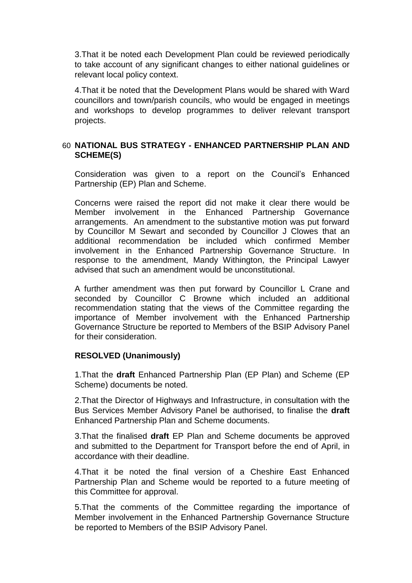3.That it be noted each Development Plan could be reviewed periodically to take account of any significant changes to either national guidelines or relevant local policy context.

4.That it be noted that the Development Plans would be shared with Ward councillors and town/parish councils, who would be engaged in meetings and workshops to develop programmes to deliver relevant transport projects.

# 60 **NATIONAL BUS STRATEGY - ENHANCED PARTNERSHIP PLAN AND SCHEME(S)**

Consideration was given to a report on the Council's Enhanced Partnership (EP) Plan and Scheme.

Concerns were raised the report did not make it clear there would be Member involvement in the Enhanced Partnership Governance arrangements. An amendment to the substantive motion was put forward by Councillor M Sewart and seconded by Councillor J Clowes that an additional recommendation be included which confirmed Member involvement in the Enhanced Partnership Governance Structure. In response to the amendment, Mandy Withington, the Principal Lawyer advised that such an amendment would be unconstitutional.

A further amendment was then put forward by Councillor L Crane and seconded by Councillor C Browne which included an additional recommendation stating that the views of the Committee regarding the importance of Member involvement with the Enhanced Partnership Governance Structure be reported to Members of the BSIP Advisory Panel for their consideration.

# **RESOLVED (Unanimously)**

1.That the **draft** Enhanced Partnership Plan (EP Plan) and Scheme (EP Scheme) documents be noted.

2.That the Director of Highways and Infrastructure, in consultation with the Bus Services Member Advisory Panel be authorised, to finalise the **draft**  Enhanced Partnership Plan and Scheme documents.

3.That the finalised **draft** EP Plan and Scheme documents be approved and submitted to the Department for Transport before the end of April, in accordance with their deadline.

4.That it be noted the final version of a Cheshire East Enhanced Partnership Plan and Scheme would be reported to a future meeting of this Committee for approval.

5.That the comments of the Committee regarding the importance of Member involvement in the Enhanced Partnership Governance Structure be reported to Members of the BSIP Advisory Panel.